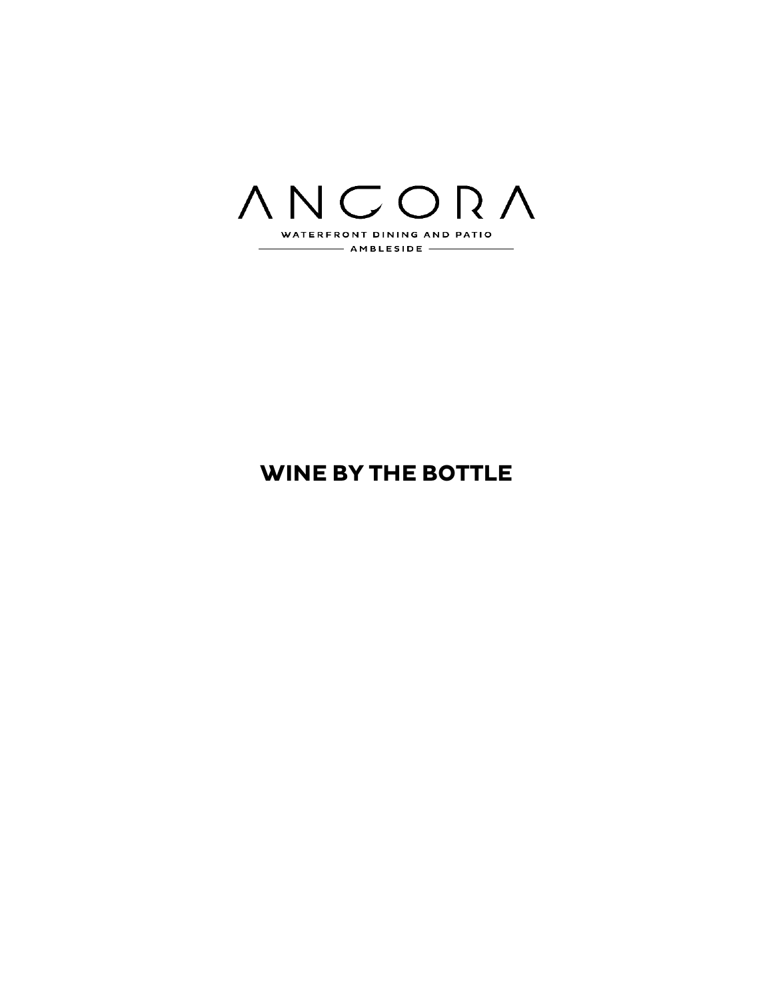

# **WINE BY THE BOTTLE**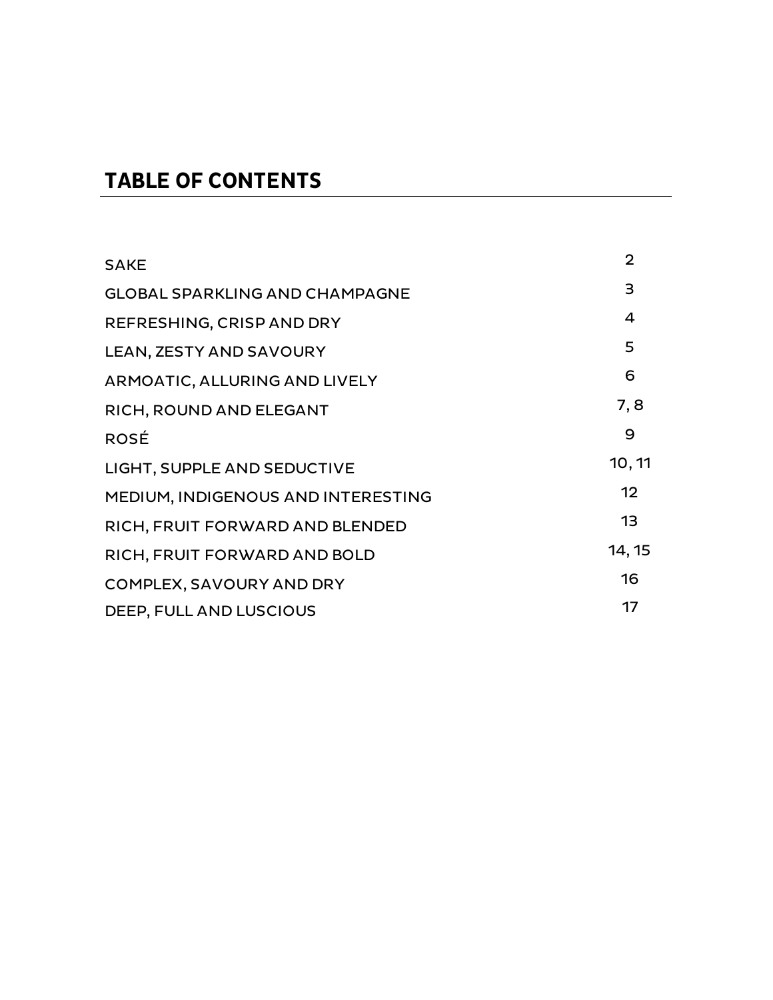# **TABLE OF CONTENTS**

| <b>SAKE</b>                           | 2      |
|---------------------------------------|--------|
| <b>GLOBAL SPARKLING AND CHAMPAGNE</b> | 3      |
| REFRESHING, CRISP AND DRY             | 4      |
| <b>LEAN, ZESTY AND SAVOURY</b>        | 5      |
| ARMOATIC, ALLURING AND LIVELY         | 6      |
| RICH, ROUND AND ELEGANT               | 7, 8   |
| <b>ROSÉ</b>                           | 9      |
| LIGHT, SUPPLE AND SEDUCTIVE           | 10, 11 |
| MEDIUM, INDIGENOUS AND INTERESTING    | 12     |
| RICH, FRUIT FORWARD AND BLENDED       | 13     |
| RICH, FRUIT FORWARD AND BOLD          | 14, 15 |
| COMPLEX, SAVOURY AND DRY              | 16     |
| DEEP, FULL AND LUSCIOUS               | 17     |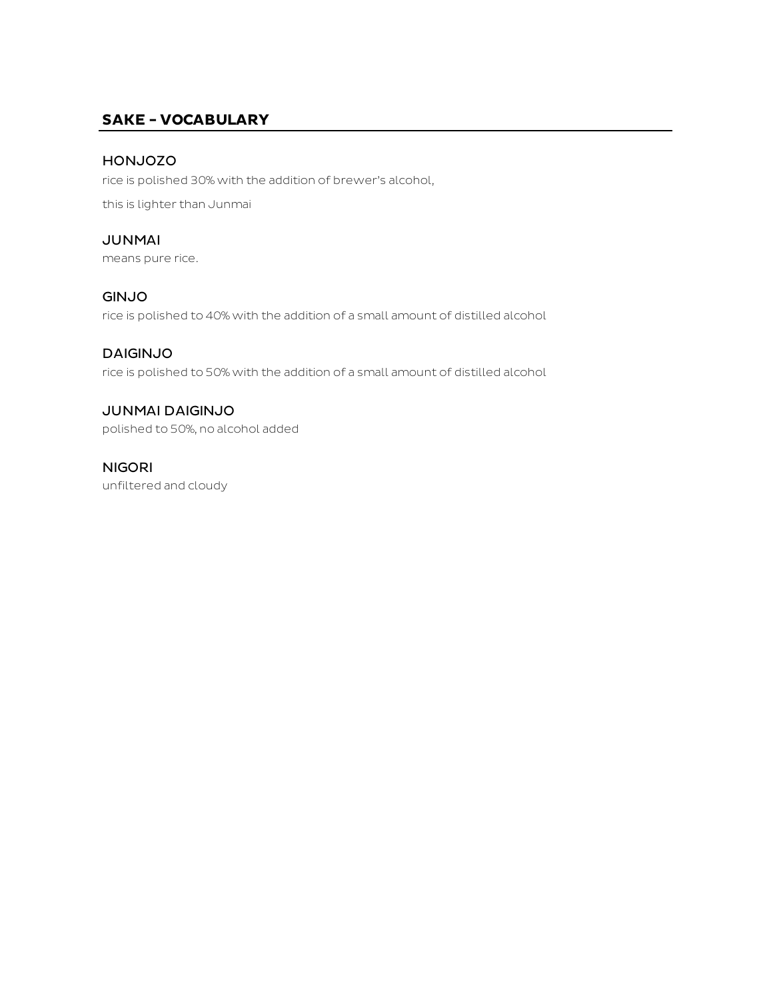### **SAKE - VOCABULARY**

#### HONJOZO

rice is polished 30% with the addition of brewer's alcohol,

this is lighter than Junmai

#### JUNMAI

means pure rice.

#### GINJO

rice is polished to 40% with the addition of a small amount of distilled alcohol

#### DAIGINJO

rice is polished to 50% with the addition of a small amount of distilled alcohol

#### JUNMAI DAIGINJO

polished to 50%, no alcohol added

#### NIGORI

unfiltered and cloudy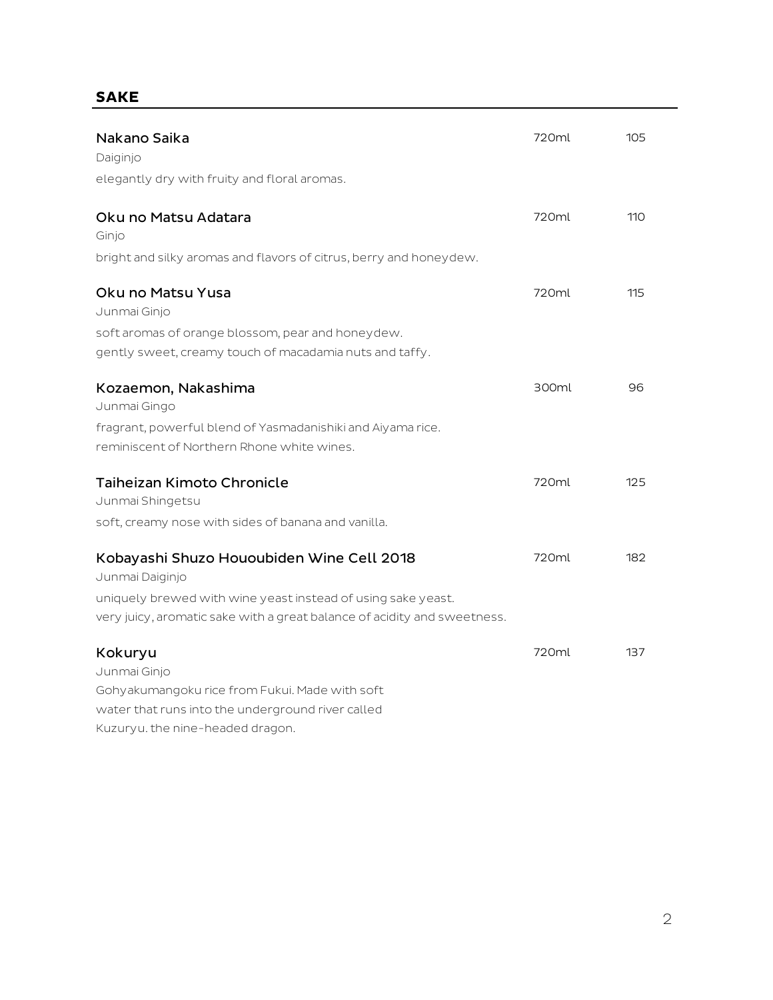# **SAKE**

| Nakano Saika                                                                                              | 720ml | 105 |
|-----------------------------------------------------------------------------------------------------------|-------|-----|
| Daiginjo                                                                                                  |       |     |
| elegantly dry with fruity and floral aromas.                                                              |       |     |
| Oku no Matsu Adatara<br>Ginjo                                                                             | 720ml | 110 |
| bright and silky aromas and flavors of citrus, berry and honeydew.                                        |       |     |
| Oku no Matsu Yusa<br>Junmai Ginjo                                                                         | 720ml | 115 |
| soft aromas of orange blossom, pear and honey dew.                                                        |       |     |
| gently sweet, creamy touch of macadamia nuts and taffy.                                                   |       |     |
| Kozaemon, Nakashima<br>Junmai Gingo                                                                       | 300ml | 96  |
| fragrant, powerful blend of Yasmadanishiki and Aiyama rice.<br>reminiscent of Northern Rhone white wines. |       |     |
| <b>Taiheizan Kimoto Chronicle</b><br>Junmai Shingetsu                                                     | 720ml | 125 |
| soft, creamy nose with sides of banana and vanilla.                                                       |       |     |
| Kobayashi Shuzo Hououbiden Wine Cell 2018<br>Junmai Daiginjo                                              | 720ml | 182 |
| uniquely brewed with wine yeast instead of using sake yeast.                                              |       |     |
| very juicy, aromatic sake with a great balance of acidity and sweetness.                                  |       |     |
| Kokuryu                                                                                                   | 720ml | 137 |
| Junmai Ginjo                                                                                              |       |     |
| Gohyakumangoku rice from Fukui. Made with soft                                                            |       |     |
| water that runs into the underground river called                                                         |       |     |
| Kuzuryu. the nine-headed dragon.                                                                          |       |     |

2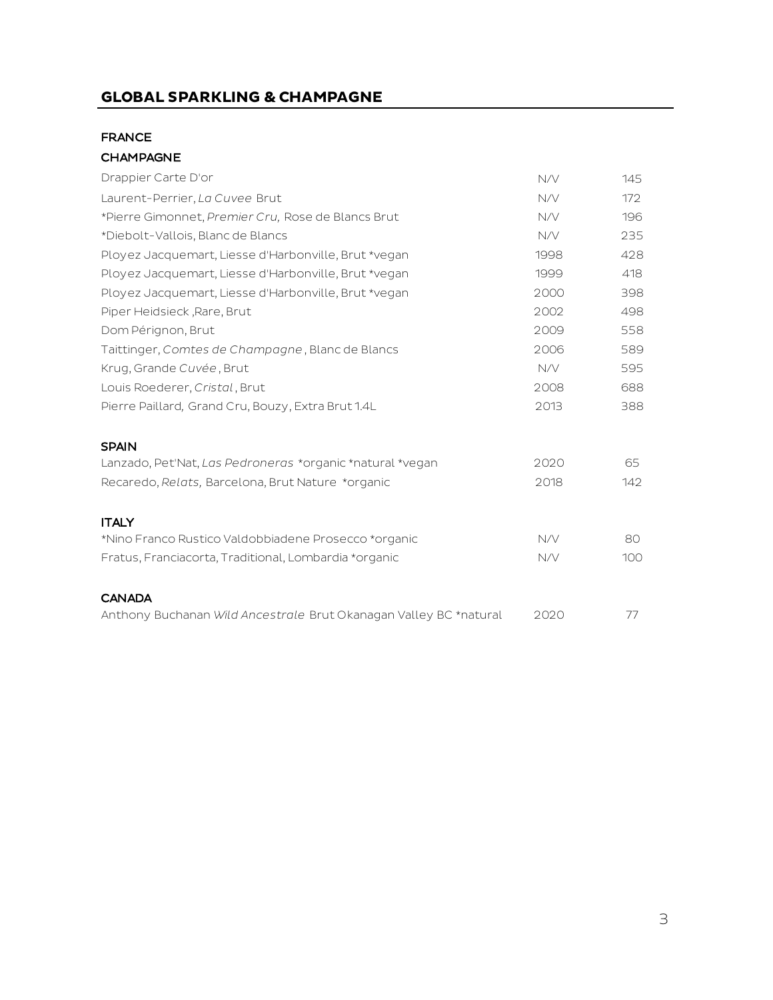# **GLOBAL SPARKLING & CHAMPAGNE**

#### FRANCE

#### CHAMPAGNE

| Drappier Carte D'or                                               | N/V  | 145 |
|-------------------------------------------------------------------|------|-----|
| Laurent-Perrier, La Cuvee Brut                                    | N/V  | 172 |
| *Pierre Gimonnet, Premier Cru, Rose de Blancs Brut                | N/V  | 196 |
| *Diebolt-Vallois, Blanc de Blancs                                 | N/V  | 235 |
| Ployez Jacquemart, Liesse d'Harbonville, Brut *vegan              | 1998 | 428 |
| Ployez Jacquemart, Liesse d'Harbonville, Brut *vegan              | 1999 | 418 |
| Ployez Jacquemart, Liesse d'Harbonville, Brut *vegan              | 2000 | 398 |
| Piper Heidsieck, Rare, Brut                                       | 2002 | 498 |
| Dom Pérignon, Brut                                                | 2009 | 558 |
| Taittinger, Comtes de Champagne, Blanc de Blancs                  | 2006 | 589 |
| Krug, Grande Cuvée, Brut                                          | N/V  | 595 |
| Louis Roederer, Cristal, Brut                                     | 2008 | 688 |
| Pierre Paillard, Grand Cru, Bouzy, Extra Brut 1.4L                | 2013 | 388 |
| <b>SPAIN</b>                                                      |      |     |
| Lanzado, Pet'Nat, Las Pedroneras *organic *natural *vegan         | 2020 | 65  |
| Recaredo, Relats, Barcelona, Brut Nature *organic                 | 2018 | 142 |
| <b>ITALY</b>                                                      |      |     |
| *Nino Franco Rustico Valdobbiadene Prosecco *organic              | N/V  | 80  |
| Fratus, Franciacorta, Traditional, Lombardia *organic             | N/V  | 100 |
| <b>CANADA</b>                                                     |      |     |
| Anthony Buchanan Wild Ancestrale Brut Okanagan Valley BC *natural | 2020 | 77  |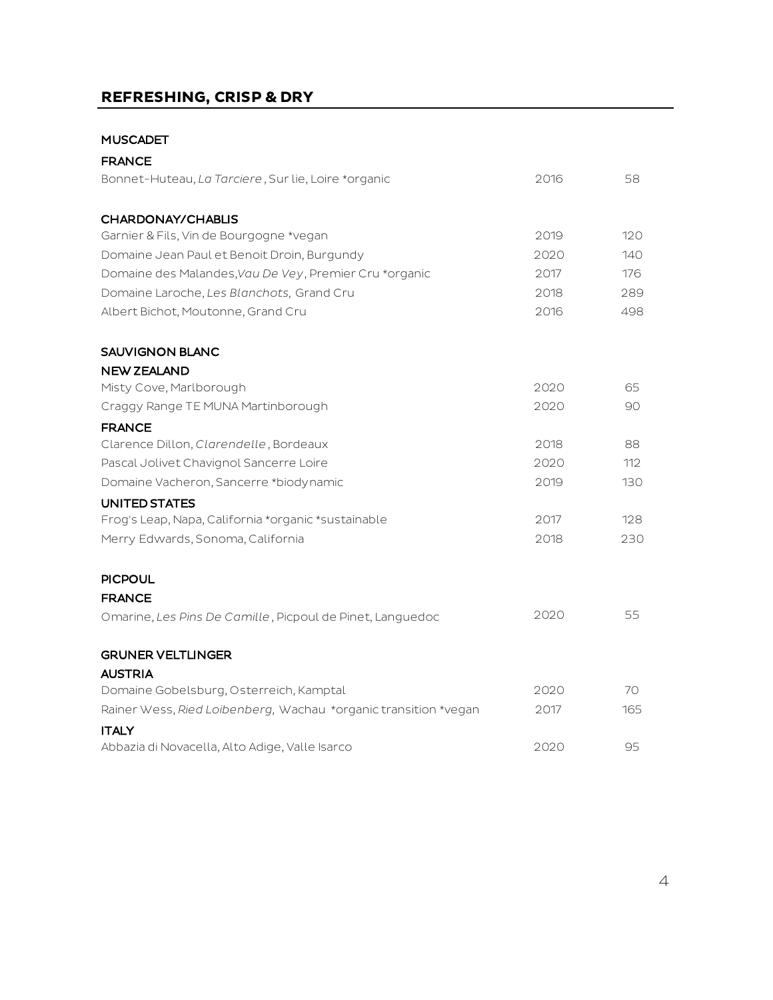# **REFRESHING, CRISP & DRY**

#### MUSCADET

| <b>FRANCE</b>                                                   |      |     |
|-----------------------------------------------------------------|------|-----|
| Bonnet-Huteau, La Tarciere, Sur lie, Loire *organic             | 2016 | 58  |
| CHARDONAY/CHABLIS                                               |      |     |
| Garnier & Fils, Vin de Bourgogne *vegan                         | 2019 | 120 |
| Domaine Jean Paul et Benoit Droin, Burgundy                     | 2020 | 140 |
| Domaine des Malandes, Vau De Vey, Premier Cru *organic          | 2017 | 176 |
| Domaine Laroche, Les Blanchots, Grand Cru                       | 2018 | 289 |
| Albert Bichot, Moutonne, Grand Cru                              | 2016 | 498 |
| <b>SAUVIGNON BLANC</b>                                          |      |     |
| <b>NEW ZEALAND</b>                                              |      |     |
| Misty Cove, Marlborough                                         | 2020 | 65  |
| Craggy Range TE MUNA Martinborough                              | 2020 | 90  |
| <b>FRANCE</b>                                                   |      |     |
| Clarence Dillon, Clarendelle, Bordeaux                          | 2018 | 88  |
| Pascal Jolivet Chavignol Sancerre Loire                         | 2020 | 112 |
| Domaine Vacheron, Sancerre *biodynamic                          | 2019 | 130 |
| UNITED STATES                                                   |      |     |
| Frog's Leap, Napa, California *organic *sustainable             | 2017 | 128 |
| Merry Edwards, Sonoma, California                               | 2018 | 230 |
| <b>PICPOUL</b>                                                  |      |     |
| <b>FRANCE</b>                                                   |      |     |
| Omarine, Les Pins De Camille, Picpoul de Pinet, Languedoc       | 2020 | 55  |
| <b>GRUNER VELTLINGER</b>                                        |      |     |
| <b>AUSTRIA</b>                                                  |      |     |
| Domaine Gobelsburg, Osterreich, Kamptal                         | 2020 | 70  |
| Rainer Wess, Ried Loibenberg, Wachau *organic transition *vegan | 2017 | 165 |
| <b>ITALY</b>                                                    |      |     |
| Abbazia di Novacella, Alto Adige, Valle Isarco                  | 2020 | 95  |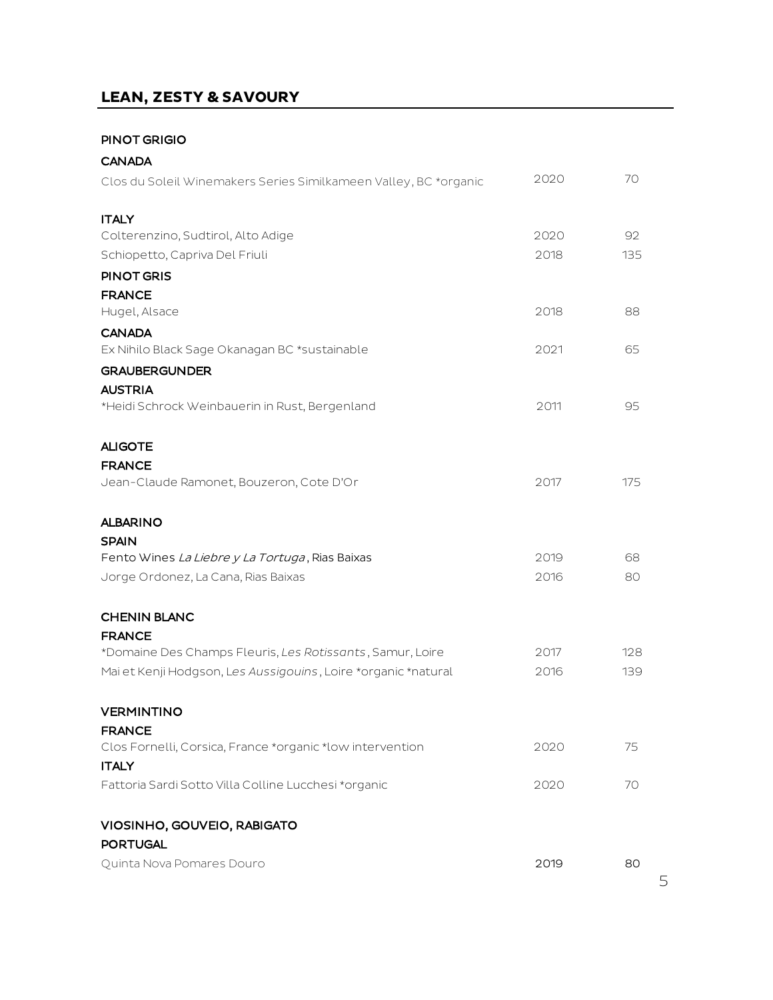# **LEAN, ZESTY & SAVOURY**

#### PINOT GRIGIO

| <b>CANADA</b>                                                             |      |     |
|---------------------------------------------------------------------------|------|-----|
| Clos du Soleil Winemakers Series Similkameen Valley, BC *organic          | 2020 | 70  |
| <b>ITALY</b>                                                              |      |     |
| Colterenzino, Sudtirol, Alto Adige                                        | 2020 | 92. |
| Schiopetto, Capriva Del Friuli                                            | 2018 | 135 |
| <b>PINOT GRIS</b>                                                         |      |     |
| <b>FRANCE</b>                                                             |      |     |
| Hugel, Alsace                                                             | 2018 | 88  |
| <b>CANADA</b>                                                             |      |     |
| Ex Nihilo Black Sage Okanagan BC *sustainable                             | 2021 | 65  |
| <b>GRAUBERGUNDER</b>                                                      |      |     |
| <b>AUSTRIA</b>                                                            |      |     |
| *Heidi Schrock Weinbauerin in Rust, Bergenland                            | 2011 | 95  |
| <b>ALIGOTE</b>                                                            |      |     |
| <b>FRANCE</b>                                                             |      |     |
| Jean-Claude Ramonet, Bouzeron, Cote D'Or                                  | 2017 | 175 |
| <b>ALBARINO</b>                                                           |      |     |
| <b>SPAIN</b>                                                              |      |     |
| Fento Wines La Liebre y La Tortuga, Rias Baixas                           | 2019 | 68  |
| Jorge Ordonez, La Cana, Rias Baixas                                       | 2016 | 80  |
| <b>CHENIN BLANC</b>                                                       |      |     |
| <b>FRANCE</b>                                                             |      |     |
| *Domaine Des Champs Fleuris, Les Rotissants, Samur, Loire                 | 2017 | 128 |
| Mai et Kenji Hodgson, Les Aussigouins, Loire *organic *natural            | 2016 | 139 |
| <b>VERMINTINO</b>                                                         |      |     |
| <b>FRANCE</b>                                                             |      |     |
| Clos Fornelli, Corsica, France *organic *low intervention<br><b>ITALY</b> | 2020 | 75  |
| Fattoria Sardi Sotto Villa Colline Lucchesi *organic                      | 2020 | 70  |
| VIOSINHO, GOUVEIO, RABIGATO                                               |      |     |
| <b>PORTUGAL</b>                                                           |      |     |
| Quinta Nova Pomares Douro                                                 | 2019 | 80  |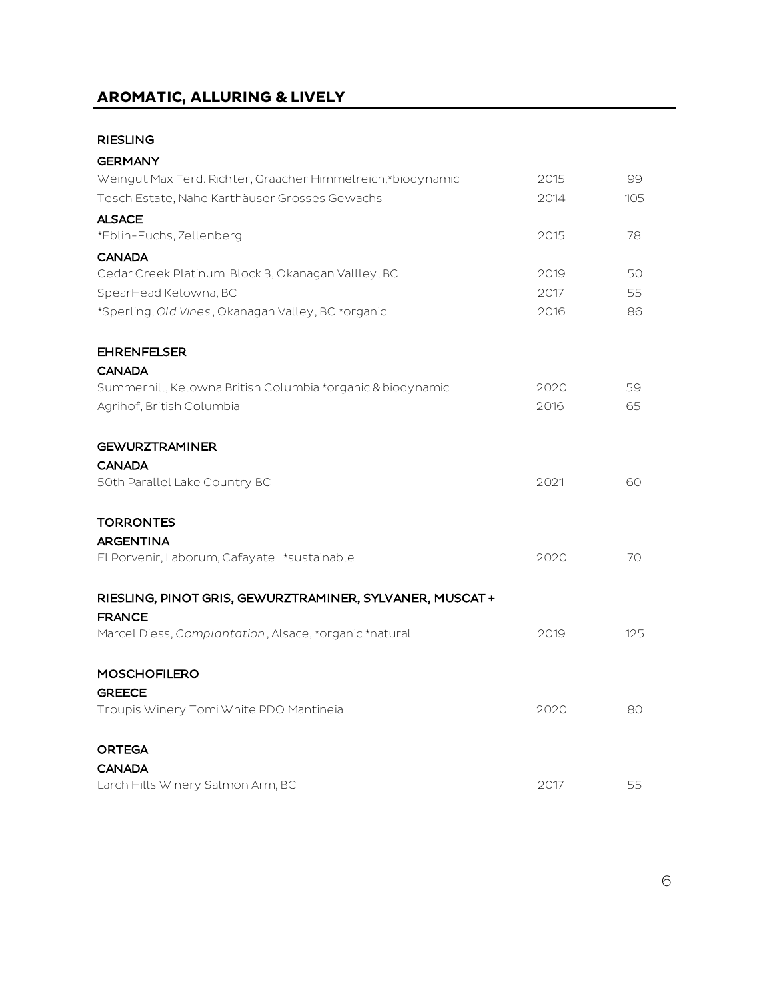# **AROMATIC, ALLURING & LIVELY**

# RIESLING

| <b>GERMANY</b>                                              |      |     |
|-------------------------------------------------------------|------|-----|
| Weingut Max Ferd. Richter, Graacher Himmelreich,*biodynamic | 2015 | 99  |
| Tesch Estate, Nahe Karthäuser Grosses Gewachs               | 2014 | 105 |
| <b>ALSACE</b>                                               |      |     |
| *Eblin-Fuchs, Zellenberg                                    | 2015 | 78  |
| <b>CANADA</b>                                               |      |     |
| Cedar Creek Platinum Block 3, Okanagan Vallley, BC          | 2019 | 50  |
| SpearHead Kelowna, BC                                       | 2017 | 55  |
| *Sperling, Old Vines, Okanagan Valley, BC *organic          | 2016 | 86  |
| <b>EHRENFELSER</b>                                          |      |     |
| <b>CANADA</b>                                               |      |     |
| Summerhill, Kelowna British Columbia *organic & biodynamic  | 2020 | 59  |
| Agrihof, British Columbia                                   | 2016 | 65  |
| <b>GEWURZTRAMINER</b>                                       |      |     |
| <b>CANADA</b>                                               |      |     |
| 50th Parallel Lake Country BC                               | 2021 | 60  |
| <b>TORRONTES</b>                                            |      |     |
| <b>ARGENTINA</b>                                            |      |     |
| El Porvenir, Laborum, Cafayate *sustainable                 | 2020 | 70  |
| RIESLING, PINOT GRIS, GEWURZTRAMINER, SYLVANER, MUSCAT +    |      |     |
| <b>FRANCE</b>                                               |      |     |
| Marcel Diess, Complantation, Alsace, *organic *natural      | 2019 | 125 |
| <b>MOSCHOFILERO</b>                                         |      |     |
| <b>GREECE</b>                                               |      |     |
| Troupis Winery Tomi White PDO Mantineia                     | 2020 | 80  |
| <b>ORTEGA</b>                                               |      |     |
| <b>CANADA</b>                                               |      |     |
| Larch Hills Winery Salmon Arm, BC                           | 2017 | 55  |

6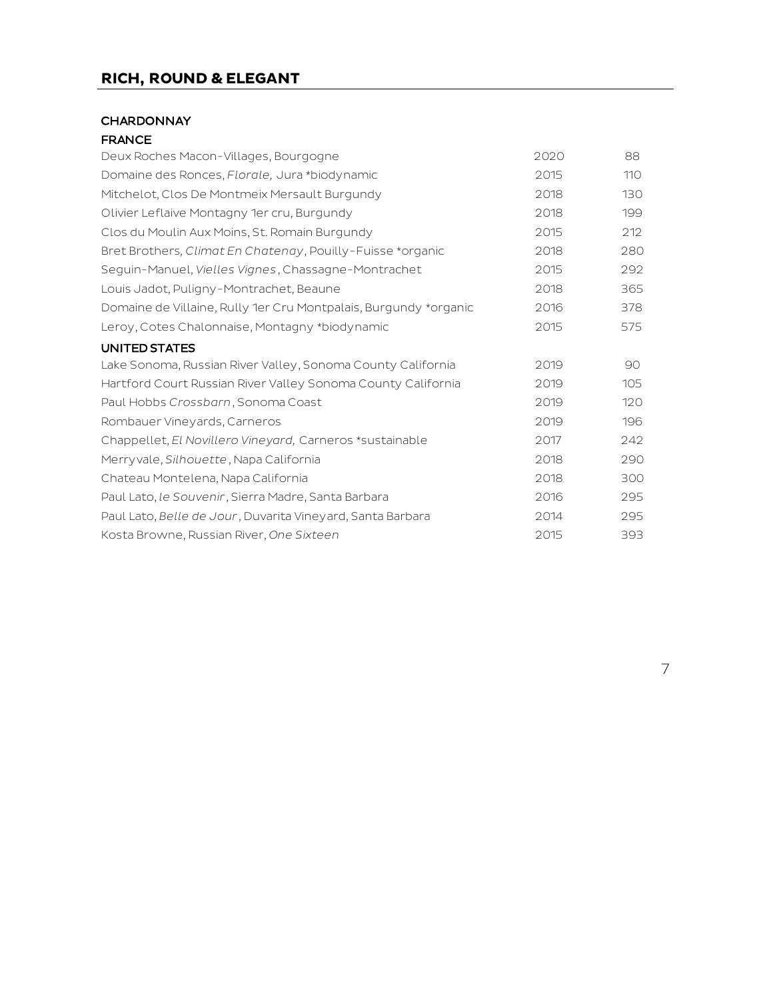# **RICH, ROUND & ELEGANT**

#### **CHARDONNAY**

| Deux Roches Macon-Villages, Bourgogne                            | 2020 | 88  |
|------------------------------------------------------------------|------|-----|
| Domaine des Ronces, Florale, Jura *biodynamic                    | 2015 | 110 |
| Mitchelot, Clos De Montmeix Mersault Burgundy                    | 2018 | 130 |
| Olivier Leflaive Montagny 1er cru, Burgundy                      | 2018 | 199 |
| Clos du Moulin Aux Moins, St. Romain Burgundy                    | 2015 | 212 |
| Bret Brothers, Climat En Chatenay, Pouilly-Fuisse *organic       | 2018 | 280 |
| Seguin-Manuel, Vielles Vignes, Chassagne-Montrachet              | 2015 | 292 |
| Louis Jadot, Puligny-Montrachet, Beaune                          | 2018 | 365 |
| Domaine de Villaine, Rully 1er Cru Montpalais, Burgundy *organic | 2016 | 378 |
| Leroy, Cotes Chalonnaise, Montagny *biodynamic                   | 2015 | 575 |
| <b>UNITED STATES</b>                                             |      |     |
| Lake Sonoma, Russian River Valley, Sonoma County California      | 2019 | 90  |
| Hartford Court Russian River Valley Sonoma County California     | 2019 | 105 |
| Paul Hobbs Crossbarn, Sonoma Coast                               | 2019 | 120 |
| Rombauer Vineyards, Carneros                                     | 2019 | 196 |
| Chappellet, El Novillero Vineyard, Carneros *sustainable         | 2017 | 242 |
| Merryvale, Silhouette, Napa California                           | 2018 | 290 |
| Chateau Montelena, Napa California                               | 2018 | 300 |
| Paul Lato, le Souvenir, Sierra Madre, Santa Barbara              | 2016 | 295 |
| Paul Lato, Belle de Jour, Duvarita Vineyard, Santa Barbara       | 2014 | 295 |
| Kosta Browne, Russian River, One Sixteen                         | 2015 | 393 |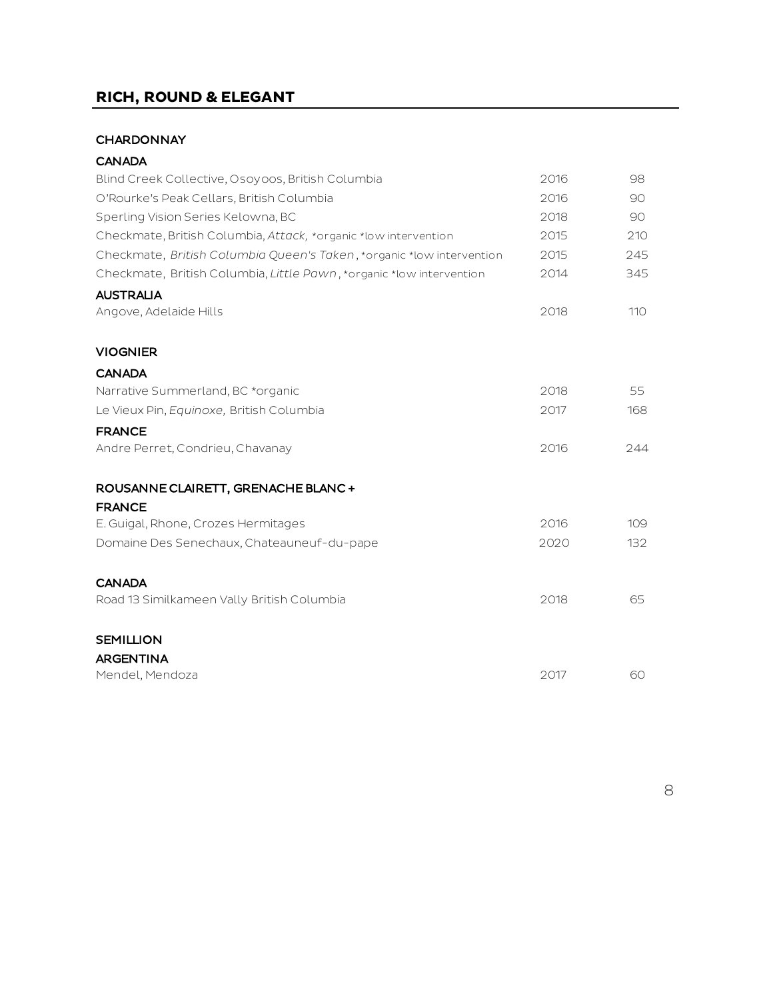# **RICH, ROUND & ELEGANT**

#### **CHARDONNAY**

| <b>CANADA</b>                                                         |      |     |
|-----------------------------------------------------------------------|------|-----|
| Blind Creek Collective, Osoyoos, British Columbia                     | 2016 | 98  |
| O'Rourke's Peak Cellars, British Columbia                             | 2016 | 90  |
| Sperling Vision Series Kelowna, BC                                    | 2018 | 90  |
| Checkmate, British Columbia, Attack, *organic *low intervention       | 2015 | 210 |
| Checkmate, British Columbia Queen's Taken, *organic *low intervention | 2015 | 245 |
| Checkmate, British Columbia, Little Pawn, *organic *low intervention  | 2014 | 345 |
| <b>AUSTRALIA</b>                                                      |      |     |
| Angove, Adelaide Hills                                                | 2018 | 110 |
| <b>VIOGNIER</b>                                                       |      |     |
| <b>CANADA</b>                                                         |      |     |
| Narrative Summerland, BC *organic                                     | 2018 | 55  |
| Le Vieux Pin, Equinoxe, British Columbia                              | 2017 | 168 |
| <b>FRANCE</b>                                                         |      |     |
| Andre Perret, Condrieu, Chavanay                                      | 2016 | 244 |
| ROUSANNE CLAIRETT, GRENACHE BLANC +                                   |      |     |
| <b>FRANCE</b>                                                         |      |     |
| E. Guigal, Rhone, Crozes Hermitages                                   | 2016 | 109 |
| Domaine Des Senechaux, Chateauneuf-du-pape                            | 2020 | 132 |
| <b>CANADA</b>                                                         |      |     |
| Road 13 Similkameen Vally British Columbia                            | 2018 | 65  |
| <b>SEMILLION</b>                                                      |      |     |
| <b>ARGENTINA</b>                                                      |      |     |
| Mendel, Mendoza                                                       | 2017 | 60  |
|                                                                       |      |     |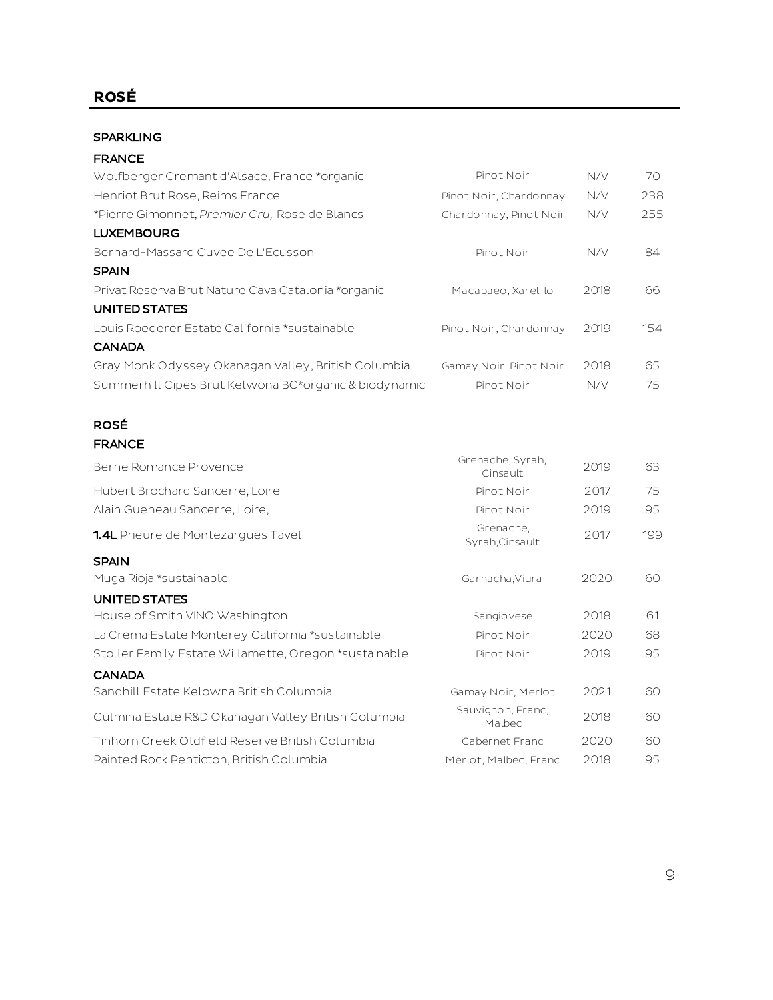# **ROSÉ**

#### SPARKLING

#### FRANCE

| Wolfberger Cremant d'Alsace, France *organic          | Pinot Noir             | N/V  | 70  |
|-------------------------------------------------------|------------------------|------|-----|
| Henriot Brut Rose, Reims France                       | Pinot Noir, Chardonnay | N/V  | 238 |
| *Pierre Gimonnet, Premier Cru, Rose de Blancs         | Chardonnay, Pinot Noir | N/V  | 255 |
| <b>LUXEMBOURG</b>                                     |                        |      |     |
| Bernard-Massard Cuvee De L'Ecusson                    | Pinot Noir             | N/V  | 84. |
| <b>SPAIN</b>                                          |                        |      |     |
| Privat Reserva Brut Nature Cava Catalonia *organic    | Macabaeo, Xarel-lo     | 2018 | 66  |
| UNITED STATES                                         |                        |      |     |
| Louis Roederer Estate California *sustainable         | Pinot Noir, Chardonnay | 2019 | 154 |
| <b>CANADA</b>                                         |                        |      |     |
| Gray Monk Odyssey Okanagan Valley, British Columbia   | Gamay Noir, Pinot Noir | 2018 | 65  |
| Summerhill Cipes Brut Kelwona BC*organic & biodynamic | Pinot Noir             | N/V  | 75  |

# ROSÉ

| Berne Romance Provence                                | Grenache, Syrah,<br>Cinsault | 2019 | 63  |
|-------------------------------------------------------|------------------------------|------|-----|
| Hubert Brochard Sancerre, Loire                       | Pinot Noir                   | 2017 | 75  |
| Alain Gueneau Sancerre, Loire,                        | Pinot Noir                   | 2019 | 95  |
| <b>1.4L</b> Prieure de Montezargues Tavel             | Grenache,<br>Syrah, Cinsault | 2017 | 199 |
| <b>SPAIN</b>                                          |                              |      |     |
| Muga Rioja *sustainable                               | Garnacha, Viura              | 2020 | 60  |
| UNITED STATES                                         |                              |      |     |
| House of Smith VINO Washington                        | Sangiovese                   | 2018 | 61  |
| La Crema Estate Monterey California *sustainable      | Pinot Noir                   | 2020 | 68  |
| Stoller Family Estate Willamette, Oregon *sustainable | Pinot Noir                   | 2019 | 95  |
| <b>CANADA</b>                                         |                              |      |     |
| Sandhill Estate Kelowna British Columbia              | Gamay Noir, Merlot           | 2021 | 60  |
| Culmina Estate R&D Okanagan Valley British Columbia   | Sauvignon, Franc,<br>Malbec  | 2018 | 60  |
| Tinhorn Creek Oldfield Reserve British Columbia       | Cabernet Franc               | 2020 | 60  |
| Painted Rock Penticton, British Columbia              | Merlot, Malbec, Franc        | 2018 | 95  |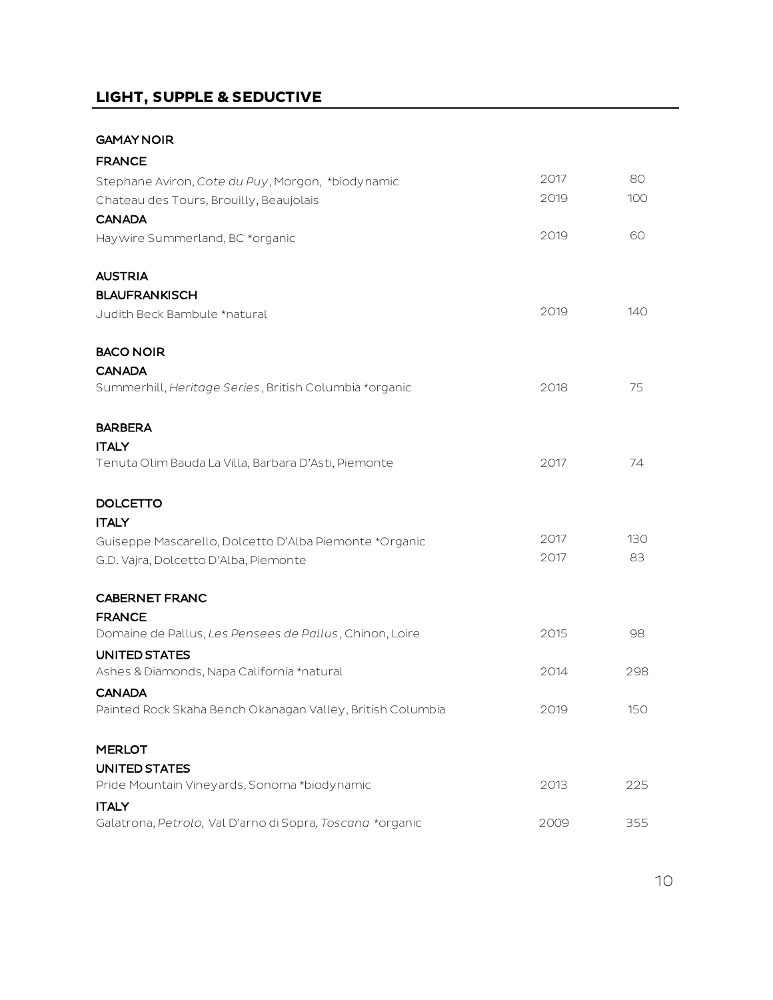# **LIGHT, SUPPLE & SEDUCTIVE**

#### GAMAY NOIR

| <b>FRANCE</b>                                              |      |     |
|------------------------------------------------------------|------|-----|
| Stephane Aviron, Cote du Puy, Morgon, *biodynamic          | 2017 | 80  |
| Chateau des Tours, Brouilly, Beaujolais                    | 2019 | 100 |
| <b>CANADA</b>                                              |      |     |
| Haywire Summerland, BC *organic                            | 2019 | 60  |
| <b>AUSTRIA</b>                                             |      |     |
| <b>BLAUFRANKISCH</b>                                       |      |     |
| Judith Beck Bambule *natural                               | 2019 | 140 |
| <b>BACO NOIR</b>                                           |      |     |
| <b>CANADA</b>                                              |      |     |
| Summerhill, Heritage Series, British Columbia *organic     | 2018 | 75  |
| <b>BARBERA</b>                                             |      |     |
| <b>ITALY</b>                                               |      |     |
| Tenuta Olim Bauda La Villa, Barbara D'Asti, Piemonte       | 2017 | 74  |
| <b>DOLCETTO</b>                                            |      |     |
| <b>ITALY</b>                                               |      |     |
| Guiseppe Mascarello, Dolcetto D'Alba Piemonte *Organic     | 2017 | 130 |
| G.D. Vajra, Dolcetto D'Alba, Piemonte                      | 2017 | 83  |
| <b>CABERNET FRANC</b>                                      |      |     |
| <b>FRANCE</b>                                              |      |     |
| Domaine de Pallus, Les Pensees de Pallus, Chinon, Loire    | 2015 | 98  |
| <b>UNITED STATES</b>                                       |      |     |
| Ashes & Diamonds, Napa California *natural                 | 2014 | 298 |
| <b>CANADA</b>                                              |      |     |
| Painted Rock Skaha Bench Okanagan Valley, British Columbia | 2019 | 150 |
| <b>MERLOT</b>                                              |      |     |
| <b>UNITED STATES</b>                                       |      |     |
| Pride Mountain Vineyards, Sonoma *biodynamic               | 2013 | 225 |
| <b>ITALY</b>                                               |      |     |
| Galatrona, Petrolo, Val D'arno di Sopra, Toscana *organic  | 2009 | 355 |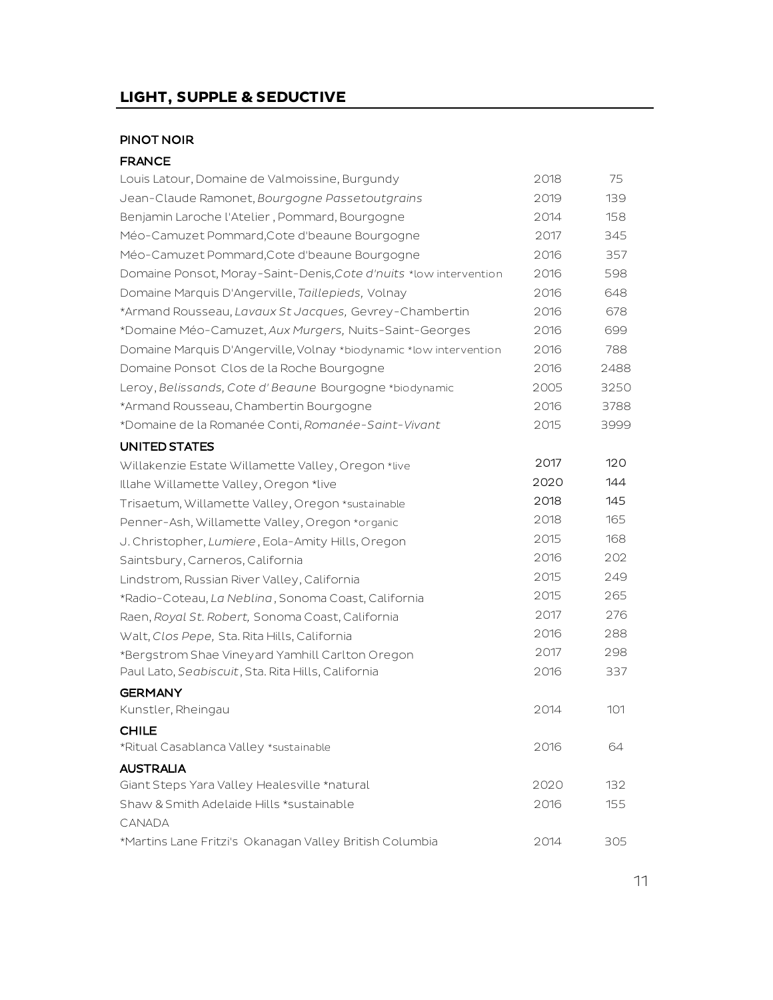#### PINOT NOIR

| Louis Latour, Domaine de Valmoissine, Burgundy                     | 2018 | 75   |
|--------------------------------------------------------------------|------|------|
| Jean-Claude Ramonet, Bourgogne Passetoutgrains                     | 2019 | 139  |
| Benjamin Laroche l'Atelier, Pommard, Bourgogne                     | 2014 | 158  |
| Méo-Camuzet Pommard, Cote d'beaune Bourgogne                       | 2017 | 345  |
| Méo-Camuzet Pommard, Cote d'beaune Bourgogne                       | 2016 | 357  |
| Domaine Ponsot, Moray-Saint-Denis, Cote d'nuits *low intervention  | 2016 | 598  |
| Domaine Marquis D'Angerville, Taillepieds, Volnay                  | 2016 | 648  |
| *Armand Rousseau, Lavaux St Jacques, Gevrey-Chambertin             | 2016 | 678  |
| *Domaine Méo-Camuzet, Aux Murgers, Nuits-Saint-Georges             | 2016 | 699  |
| Domaine Marquis D'Angerville, Volnay *biodynamic *low intervention | 2016 | 788  |
| Domaine Ponsot Clos de la Roche Bourgogne                          | 2016 | 2488 |
| Leroy, Belissands, Cote d' Beaune Bourgogne *biodynamic            | 2005 | 3250 |
| *Armand Rousseau, Chambertin Bourgogne                             | 2016 | 3788 |
| *Domaine de la Romanée Conti, Romanée-Saint-Vivant                 | 2015 | 3999 |
| UNITED STATES                                                      |      |      |
| Willakenzie Estate Willamette Valley, Oregon *live                 | 2017 | 120  |
| Illahe Willamette Valley, Oregon *live                             | 2020 | 144  |
| Trisaetum, Willamette Valley, Oregon *sustainable                  | 2018 | 145  |
| Penner-Ash, Willamette Valley, Oregon *organic                     | 2018 | 165  |
| J. Christopher, Lumiere, Eola-Amity Hills, Oregon                  | 2015 | 168  |
| Saintsbury, Carneros, California                                   | 2016 | 202  |
| Lindstrom, Russian River Valley, California                        | 2015 | 249  |
| *Radio-Coteau, La Neblina, Sonoma Coast, California                | 2015 | 265  |
| Raen, Royal St. Robert, Sonoma Coast, California                   | 2017 | 276  |
| Walt, Clos Pepe, Sta. Rita Hills, California                       | 2016 | 288  |
| *Bergstrom Shae Vineyard Yamhill Carlton Oregon                    | 2017 | 298  |
| Paul Lato, Seabiscuit, Sta. Rita Hills, California                 | 2016 | 337  |
| <b>GERMANY</b>                                                     |      |      |
| Kunstler, Rheingau                                                 | 2014 | 101  |
| <b>CHILE</b>                                                       |      |      |
| *Ritual Casablanca Valley *sustainable                             | 2016 | 64   |
| <b>AUSTRALIA</b>                                                   |      |      |
| Giant Steps Yara Valley Healesville *natural                       | 2020 | 132  |
| Shaw & Smith Adelaide Hills *sustainable                           | 2016 | 155  |
| CANADA                                                             |      |      |
| *Martins Lane Fritzi's Okanagan Valley British Columbia            | 2014 | 305  |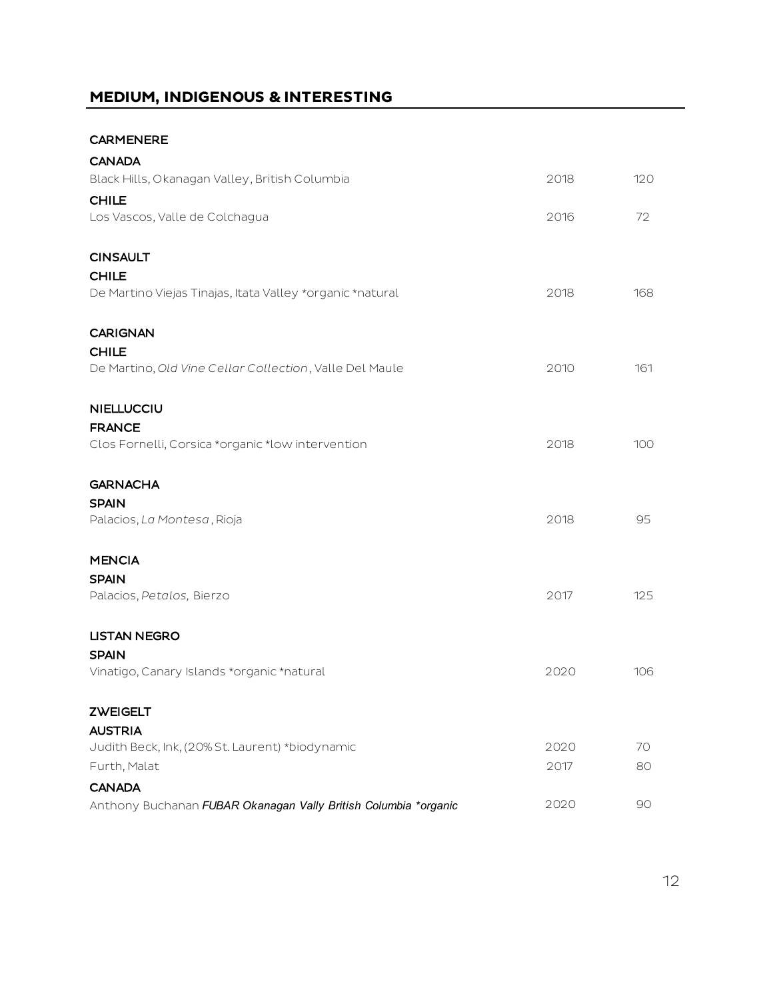# **MEDIUM, INDIGENOUS & INTERESTING**

CARMENERE

| <b>CANADA</b>                                                   |      |     |
|-----------------------------------------------------------------|------|-----|
| Black Hills, Okanagan Valley, British Columbia                  | 2018 | 120 |
| <b>CHILE</b>                                                    |      |     |
| Los Vascos, Valle de Colchagua                                  | 2016 | 72  |
| <b>CINSAULT</b>                                                 |      |     |
| <b>CHILE</b>                                                    |      |     |
| De Martino Viejas Tinajas, Itata Valley *organic *natural       | 2018 | 168 |
| <b>CARIGNAN</b>                                                 |      |     |
| <b>CHILE</b>                                                    |      |     |
| De Martino, Old Vine Cellar Collection, Valle Del Maule         | 2010 | 161 |
| <b>NIELLUCCIU</b>                                               |      |     |
| <b>FRANCE</b>                                                   |      |     |
| Clos Fornelli, Corsica *organic *low intervention               | 2018 | 100 |
| <b>GARNACHA</b>                                                 |      |     |
| <b>SPAIN</b>                                                    |      |     |
| Palacios, La Montesa, Rioja                                     | 2018 | 95  |
| <b>MENCIA</b>                                                   |      |     |
| <b>SPAIN</b>                                                    |      |     |
| Palacios, Petalos, Bierzo                                       | 2017 | 125 |
| <b>LISTAN NEGRO</b>                                             |      |     |
| <b>SPAIN</b>                                                    |      |     |
| Vinatigo, Canary Islands *organic *natural                      | 2020 | 106 |
| <b>ZWEIGELT</b>                                                 |      |     |
| <b>AUSTRIA</b>                                                  |      |     |
| Judith Beck, Ink, (20% St. Laurent) *biodynamic                 | 2020 | 70  |
| Furth, Malat                                                    | 2017 | 80  |
| <b>CANADA</b>                                                   |      |     |
| Anthony Buchanan FUBAR Okanagan Vally British Columbia *organic | 2020 | 90  |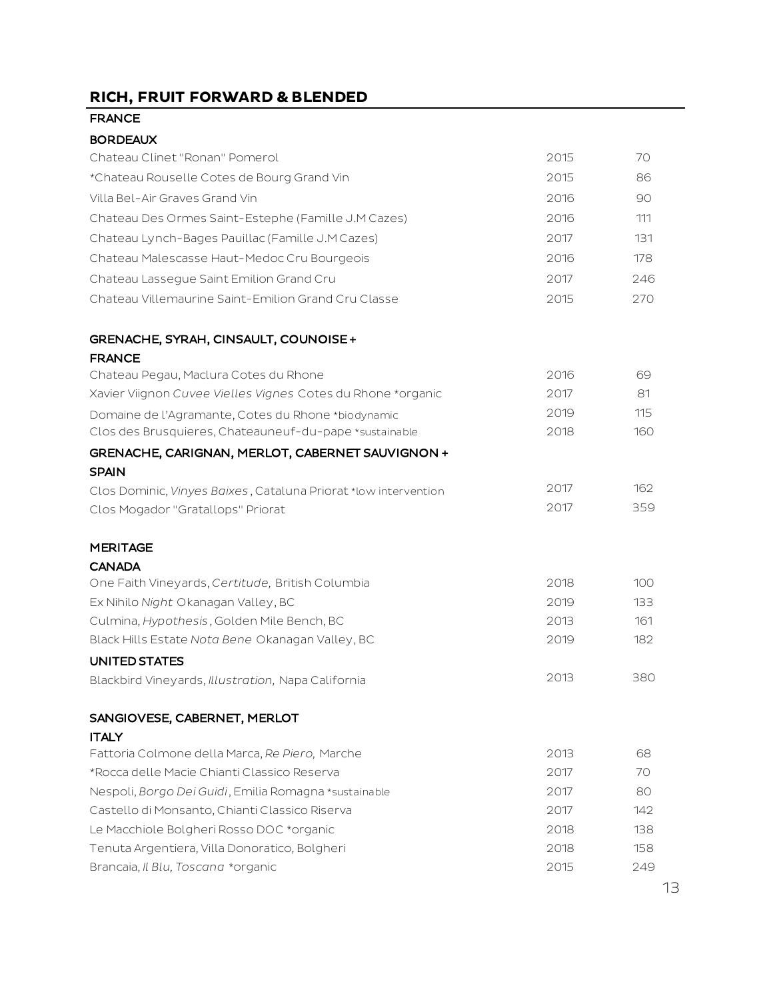# **RICH, FRUIT FORWARD & BLENDED**

| <b>BORDEAUX</b> |
|-----------------|
|-----------------|

| Chateau Clinet "Ronan" Pomerol                                  | 2015 | 70  |
|-----------------------------------------------------------------|------|-----|
| *Chateau Rouselle Cotes de Bourg Grand Vin                      | 2015 | 86  |
| Villa Bel-Air Graves Grand Vin                                  | 2016 | 90  |
| Chateau Des Ormes Saint-Estephe (Famille J.M Cazes)             | 2016 | 111 |
| Chateau Lynch-Bages Pauillac (Famille J.M Cazes)                | 2017 | 131 |
| Chateau Malescasse Haut-Medoc Cru Bourgeois                     | 2016 | 178 |
| Chateau Lassegue Saint Emilion Grand Cru                        | 2017 | 246 |
| Chateau Villemaurine Saint-Emilion Grand Cru Classe             | 2015 | 270 |
| GRENACHE, SYRAH, CINSAULT, COUNOISE+                            |      |     |
| <b>FRANCE</b>                                                   |      |     |
| Chateau Pegau, Maclura Cotes du Rhone                           | 2016 | 69  |
| Xavier Viignon Cuvee Vielles Vignes Cotes du Rhone *organic     | 2017 | 81  |
| Domaine de l'Agramante, Cotes du Rhone *biodynamic              | 2019 | 115 |
| Clos des Brusquieres, Chateauneuf-du-pape *sustainable          | 2018 | 160 |
| GRENACHE, CARIGNAN, MERLOT, CABERNET SAUVIGNON +                |      |     |
| <b>SPAIN</b>                                                    | 2017 | 162 |
| Clos Dominic, Vinyes Baixes, Cataluna Priorat *low intervention | 2017 | 359 |
| Clos Mogador "Gratallops" Priorat                               |      |     |
| <b>MERITAGE</b>                                                 |      |     |
| <b>CANADA</b>                                                   |      |     |
| One Faith Vineyards, Certitude, British Columbia                | 2018 | 100 |
| Ex Nihilo Night Okanagan Valley, BC                             | 2019 | 133 |
| Culmina, Hypothesis, Golden Mile Bench, BC                      | 2013 | 161 |
| Black Hills Estate Nota Bene Okanagan Valley, BC                | 2019 | 182 |
| UNITED STATES                                                   |      |     |
| Blackbird Vineyards, Illustration, Napa California              | 2013 | 380 |
| SANGIOVESE, CABERNET, MERLOT                                    |      |     |
| <b>ITALY</b>                                                    |      |     |
| Fattoria Colmone della Marca, Re Piero, Marche                  | 2013 | 68  |
| *Rocca delle Macie Chianti Classico Reserva                     | 2017 | 70  |
| Nespoli, Borgo Dei Guidi, Emilia Romagna *sustainable           | 2017 | 80  |
| Castello di Monsanto, Chianti Classico Riserva                  | 2017 | 142 |
| Le Macchiole Bolgheri Rosso DOC *organic                        | 2018 | 138 |
| Tenuta Argentiera, Villa Donoratico, Bolgheri                   | 2018 | 158 |
| Brancaia, Il Blu, Toscana *organic                              | 2015 | 249 |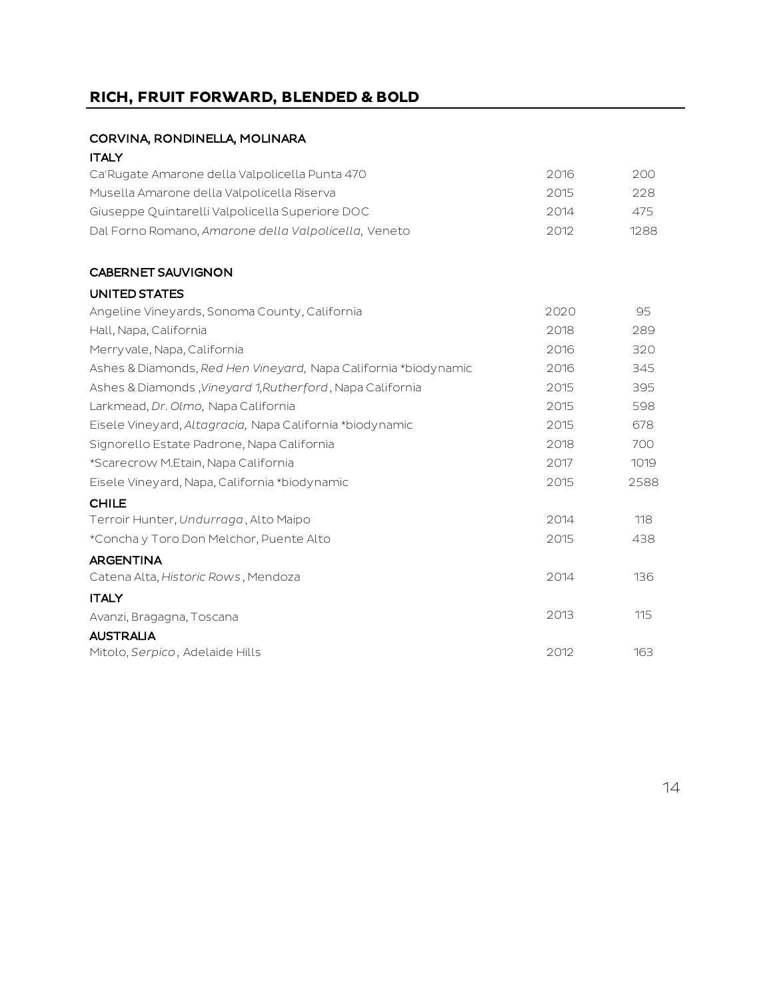# **RICH, FRUIT FORWARD, BLENDED & BOLD**

#### CORVINA, RONDINELLA, MOLINARA

#### **ITALY**

| Ca'Rugate Amarone della Valpolicella Punta 470       | 2016 | 200. |
|------------------------------------------------------|------|------|
| Musella Amarone della Valpolicella Riserva           | 2015 | 228. |
| Giuseppe Quintarelli Valpolicella Superiore DOC      | 2014 | 475  |
| Dal Forno Romano, Amarone della Valpolicella, Veneto | 2012 | 1288 |
|                                                      |      |      |

### CABERNET SAUVIGNON

#### UNITED STATES

| Angeline Vineyards, Sonoma County, California                   | 2020 | 95   |
|-----------------------------------------------------------------|------|------|
| Hall, Napa, California                                          | 2018 | 289  |
| Merryvale, Napa, California                                     | 2016 | 320  |
| Ashes & Diamonds, Red Hen Vineyard, Napa California *biodynamic | 2016 | 345  |
| Ashes & Diamonds, Vineyard 1, Rutherford, Napa California       | 2015 | 395  |
| Larkmead, Dr. Olmo, Napa California                             | 2015 | 598  |
| Eisele Vineyard, Altagracia, Napa California *biodynamic        | 2015 | 678  |
| Signorello Estate Padrone, Napa California                      | 2018 | 700  |
| *Scarecrow M.Etain, Napa California                             | 2017 | 1019 |
| Eisele Vineyard, Napa, California *biodynamic                   | 2015 | 2588 |
| <b>CHILE</b>                                                    |      |      |
| Terroir Hunter, Undurraga, Alto Maipo                           | 2014 | 118  |
| *Concha y Toro Don Melchor, Puente Alto                         | 2015 | 438  |
| <b>ARGENTINA</b>                                                |      |      |
| Catena Alta, Historic Rows, Mendoza                             | 2014 | 136  |
| <b>ITALY</b>                                                    |      |      |
| Avanzi, Bragagna, Toscana                                       | 2013 | 115  |
| <b>AUSTRALIA</b>                                                |      |      |
| Mitolo, Serpico, Adelaide Hills                                 | 2012 | 163  |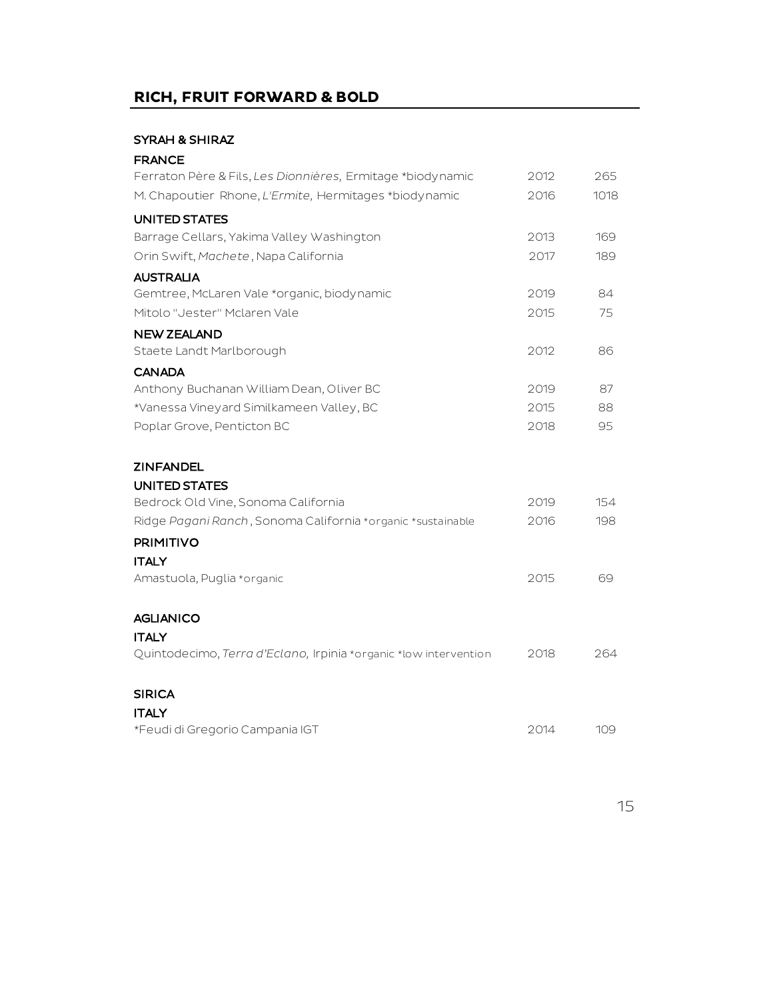# **RICH, FRUIT FORWARD & BOLD**

#### SYRAH & SHIRAZ

| <b>FRANCE</b>                                                    |      |      |
|------------------------------------------------------------------|------|------|
| Ferraton Père & Fils, Les Dionnières, Ermitage *biodynamic       | 2012 | 265  |
| M. Chapoutier Rhone, L'Ermite, Hermitages *biodynamic            | 2016 | 1018 |
| <b>UNITED STATES</b>                                             |      |      |
| Barrage Cellars, Yakima Valley Washington                        | 2013 | 169  |
| Orin Swift, Machete, Napa California                             | 2017 | 189  |
| <b>AUSTRALIA</b>                                                 |      |      |
| Gemtree, McLaren Vale *organic, biodynamic                       | 2019 | 84   |
| Mitolo "Jester" Mclaren Vale                                     | 2015 | 75   |
| <b>NEW ZEALAND</b>                                               |      |      |
| Staete Landt Marlborough                                         | 2012 | 86   |
| <b>CANADA</b>                                                    |      |      |
| Anthony Buchanan William Dean, Oliver BC                         | 2019 | 87   |
| *Vanessa Vineyard Similkameen Valley, BC                         | 2015 | 88   |
| Poplar Grove, Penticton BC                                       | 2018 | 95   |
| <b>ZINFANDEL</b>                                                 |      |      |
| UNITED STATES                                                    |      |      |
| Bedrock Old Vine, Sonoma California                              | 2019 | 154  |
| Ridge Pagani Ranch, Sonoma California *organic *sustainable      | 2016 | 198  |
| <b>PRIMITIVO</b>                                                 |      |      |
| <b>ITALY</b>                                                     |      |      |
| Amastuola, Puglia *organic                                       | 2015 | 69   |
| <b>AGLIANICO</b>                                                 |      |      |
| <b>ITALY</b>                                                     |      |      |
| Quintodecimo, Terra d'Eclano, Irpinia *organic *low intervention | 2018 | 264  |
| <b>SIRICA</b>                                                    |      |      |
| <b>ITALY</b>                                                     |      |      |
| *Feudi di Gregorio Campania IGT                                  | 2014 | 109  |
|                                                                  |      |      |

15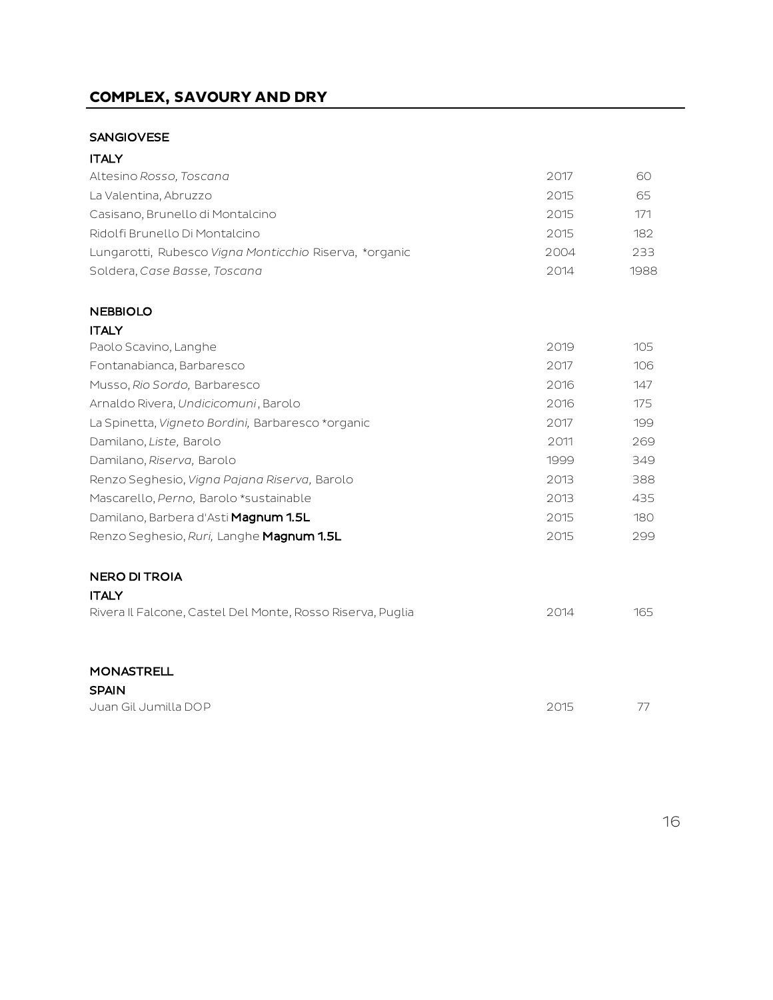# **COMPLEX, SAVOURY AND DRY**

#### SANGIOVESE

| <b>ITALY</b>                                               |      |      |
|------------------------------------------------------------|------|------|
| Altesino Rosso, Toscana                                    | 2017 | 60   |
| La Valentina, Abruzzo                                      | 2015 | 65   |
| Casisano, Brunello di Montalcino                           | 2015 | 171  |
| Ridolfi Brunello Di Montalcino                             | 2015 | 182  |
| Lungarotti, Rubesco Vigna Monticchio Riserva, *organic     | 2004 | 233  |
| Soldera, Case Basse, Toscana                               | 2014 | 1988 |
| <b>NEBBIOLO</b>                                            |      |      |
| <b>ITALY</b>                                               |      |      |
| Paolo Scavino, Langhe                                      | 2019 | 105  |
| Fontanabianca, Barbaresco                                  | 2017 | 106  |
| Musso, Rio Sordo, Barbaresco                               | 2016 | 147  |
| Arnaldo Rivera, Undicicomuni, Barolo                       | 2016 | 175  |
| La Spinetta, Vigneto Bordini, Barbaresco *organic          | 2017 | 199  |
| Damilano, Liste, Barolo                                    | 2011 | 269  |
| Damilano, Riserva, Barolo                                  | 1999 | 349  |
| Renzo Seghesio, Vigna Pajana Riserva, Barolo               | 2013 | 388  |
| Mascarello, Perno, Barolo *sustainable                     | 2013 | 435  |
| Damilano, Barbera d'Asti Magnum 1.5L                       | 2015 | 180  |
| Renzo Seghesio, Ruri, Langhe Magnum 1.5L                   | 2015 | 299  |
| <b>NERO DI TROIA</b><br><b>ITALY</b>                       |      |      |
| Rivera Il Falcone, Castel Del Monte, Rosso Riserva, Puglia | 2014 | 165  |
| <b>MONASTRELL</b>                                          |      |      |
| <b>SPAIN</b>                                               |      |      |
| Juan Gil Jumilla DOP                                       | 2015 | 77   |